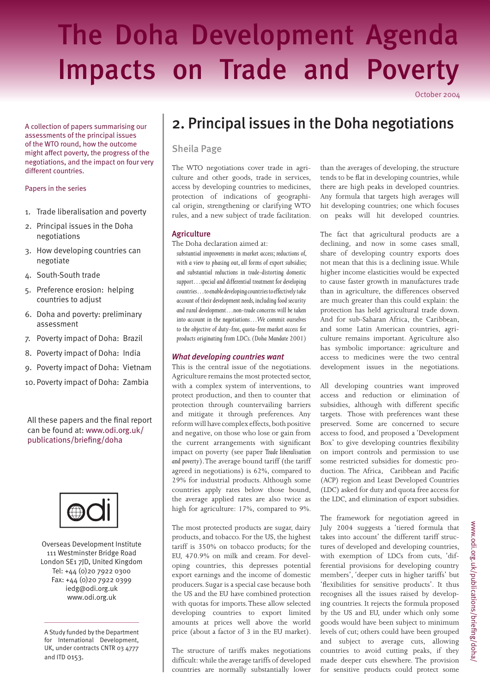# The Doha Development Agenda Impacts on Trade and Poverty

October 2004

A collection of papers summarising our assessments of the principal issues of the WTO round, how the outcome might affect poverty, the progress of the negotiations, and the impact on four very different countries.

#### Papers in the series

- 1. Trade liberalisation and poverty
- 2. Principal issues in the Doha negotiations
- 3. How developing countries can negotiate
- 4. South-South trade
- 5. Preference erosion: helping countries to adjust
- 6. Doha and poverty: preliminary assessment
- 7. Poverty impact of Doha: Brazil
- 8. Poverty impact of Doha: India
- 9. Poverty impact of Doha: Vietnam
- 10. Poverty impact of Doha: Zambia

# All these papers and the final report can be found at: www.odi.org.uk/ publications/briefing/doha



Overseas Development Institute 111 Westminster Bridge Road London SE1 7JD, United Kingdom Tel: +44 (0)20 7922 0300 Fax: +44 (0)20 7922 0399 iedg@odi.org.uk www.odi.org.uk

A Study funded by the Department for International Development, UK, under contracts CNTR 03 4777 and ITD 0153.

# 2. Principal issues in the Doha negotiations

# Sheila Page

The WTO negotiations cover trade in agriculture and other goods, trade in services, access by developing countries to medicines, protection of indications of geographical origin, strengthening or clarifying WTO rules, and a new subject of trade facilitation.

#### **Agriculture**

The Doha declaration aimed at:

*substantial improvements in market access; reductions of, with a view to phasing out, all forms of export subsidies; and substantial reductions in trade-distorting domestic support…special and differential treatment for developing countries…to enable developing countries to effectively take account of their development needs, including food security and rural development…non-trade concerns will be taken into account in the negotiations…We commit ourselves to the objective of duty-free, quota-free market access for products originating from LDCs. (Doha Mandate 2001)*

#### *What developing countries want*

This is the central issue of the negotiations. Agriculture remains the most protected sector, with a complex system of interventions, to protect production, and then to counter that protection through countervailing barriers and mitigate it through preferences. Any reform will have complex effects, both positive and negative, on those who lose or gain from the current arrangements with significant impact on poverty (see paper *Trade liberalisation and poverty*). The average bound tariff (the tariff agreed in negotiations) is 62%, compared to 29% for industrial products. Although some countries apply rates below those bound, the average applied rates are also twice as high for agriculture: 17%, compared to 9%.

The most protected products are sugar, dairy products, and tobacco. For the US, the highest tariff is 350% on tobacco products; for the EU, 470.9% on milk and cream. For developing countries, this depresses potential export earnings and the income of domestic producers. Sugar is a special case because both the US and the EU have combined protection with quotas for imports. These allow selected developing countries to export limited amounts at prices well above the world price (about a factor of 3 in the EU market).

The structure of tariffs makes negotiations difficult: while the average tariffs of developed countries are normally substantially lower than the averages of developing, the structure tends to be flat in developing countries, while there are high peaks in developed countries. Any formula that targets high averages will hit developing countries; one which focuses on peaks will hit developed countries.

The fact that agricultural products are a declining, and now in some cases small, share of developing country exports does not mean that this is a declining issue. While higher income elasticities would be expected to cause faster growth in manufactures trade than in agriculture, the differences observed are much greater than this could explain: the protection has held agricultural trade down. And for sub-Saharan Africa, the Caribbean, and some Latin American countries, agriculture remains important. Agriculture also has symbolic importance: agriculture and access to medicines were the two central development issues in the negotiations.

All developing countries want improved access and reduction or elimination of subsidies, although with different specific targets. Those with preferences want these preserved. Some are concerned to secure access to food, and proposed a 'Development Box' to give developing countries flexibility on import controls and permission to use some restricted subsidies for domestic production. The Africa, Caribbean and Pacific (ACP) region and Least Developed Countries (LDC) asked for duty and quota free access for the LDC, and elimination of export subsidies.

The framework for negotiation agreed in July 2004 suggests a 'tiered formula that takes into account' the different tariff structures of developed and developing countries, with exemption of LDCs from cuts, 'differential provisions for developing country members', 'deeper cuts in higher tariffs' but 'fl exibilities for sensitive products'. It thus recognises all the issues raised by developing countries. It rejects the formula proposed by the US and EU, under which only some goods would have been subject to minimum levels of cut; others could have been grouped and subject to average cuts, allowing countries to avoid cutting peaks, if they made deeper cuts elsewhere. The provision for sensitive products could protect some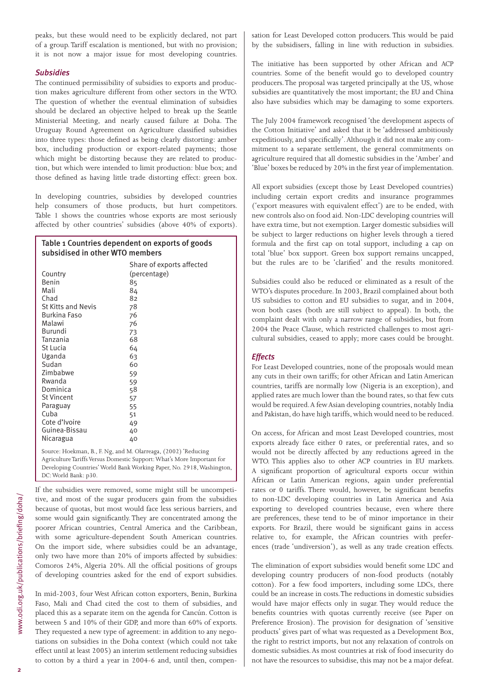peaks, but these would need to be explicitly declared, not part of a group. Tariff escalation is mentioned, but with no provision; it is not now a major issue for most developing countries.

#### *Subsidies*

The continued permissibility of subsidies to exports and production makes agriculture different from other sectors in the WTO. The question of whether the eventual elimination of subsidies should be declared an objective helped to break up the Seattle Ministerial Meeting, and nearly caused failure at Doha. The Uruguay Round Agreement on Agriculture classified subsidies into three types: those defined as being clearly distorting: amber box, including production or export-related payments; those which might be distorting because they are related to production, but which were intended to limit production: blue box; and those defined as having little trade distorting effect: green box.

In developing countries, subsidies by developed countries help consumers of those products, but hurt competitors. Table 1 shows the countries whose exports are most seriously affected by other countries' subsidies (above 40% of exports).

# Table 1 Countries dependent on exports of goods subsidised in other WTO members

|                           | Share of exports affected |
|---------------------------|---------------------------|
| Country                   | (percentage)              |
| Benin                     | 85                        |
| Mali                      | 84                        |
| Chad                      | 82                        |
| <b>St Kitts and Nevis</b> | 78                        |
| <b>Burkina Faso</b>       | 76                        |
| Malawi                    | 76                        |
| Burundi                   | 73                        |
| Tanzania                  | 68                        |
| St Lucia                  | 64                        |
| Uganda                    | 63                        |
| Sudan                     | 60                        |
| Zimbabwe                  | 59                        |
| Rwanda                    | 59                        |
| Dominica                  | 58                        |
| <b>St Vincent</b>         | 57                        |
| Paraguay                  | 55                        |
| Cuba                      | 51                        |
| Cote d'Ivoire             | 49                        |
| Guinea-Bissau             | 40                        |
| Nicaragua                 | 40                        |

Source: Hoekman, B., F. Ng, and M. Olarreaga, (2002) 'Reducing Agriculture Tariffs Versus Domestic Support: What's More Important for Developing Countries' World Bank Working Paper, No. 2918, Washington, DC: World Bank: p30.

If the subsidies were removed, some might still be uncompetitive, and most of the sugar producers gain from the subsidies because of quotas, but most would face less serious barriers, and some would gain significantly. They are concentrated among the poorer African countries, Central America and the Caribbean, with some agriculture-dependent South American countries. On the import side, where subsidies could be an advantage, only two have more than 20% of imports affected by subsidies: Comoros 24%, Algeria 20%. All the official positions of groups of developing countries asked for the end of export subsidies.

In mid-2003, four West African cotton exporters, Benin, Burkina Faso, Mali and Chad cited the cost to them of subsidies, and placed this as a separate item on the agenda for Cancún. Cotton is between 5 and 10% of their GDP, and more than 60% of exports. They requested a new type of agreement: in addition to any negotiations on subsidies in the Doha context (which could not take effect until at least 2005) an interim settlement reducing subsidies to cotton by a third a year in 2004-6 and, until then, compensation for Least Developed cotton producers. This would be paid by the subsidisers, falling in line with reduction in subsidies.

The initiative has been supported by other African and ACP countries. Some of the benefit would go to developed country producers. The proposal was targeted principally at the US, whose subsidies are quantitatively the most important; the EU and China also have subsidies which may be damaging to some exporters.

The July 2004 framework recognised 'the development aspects of the Cotton Initiative' and asked that it be 'addressed ambitiously expeditiously, and specifically'. Although it did not make any commitment to a separate settlement, the general commitments on agriculture required that all domestic subsidies in the 'Amber' and 'Blue' boxes be reduced by 20% in the first year of implementation.

All export subsidies (except those by Least Developed countries) including certain export credits and insurance programmes ('export measures with equivalent effect') are to be ended, with new controls also on food aid. Non-LDC developing countries will have extra time, but not exemption. Larger domestic subsidies will be subject to larger reductions on higher levels through a tiered formula and the first cap on total support, including a cap on total 'blue' box support. Green box support remains uncapped, but the rules are to be 'clarified' and the results monitored.

Subsidies could also be reduced or eliminated as a result of the WTO's disputes procedure. In 2003, Brazil complained about both US subsidies to cotton and EU subsidies to sugar, and in 2004, won both cases (both are still subject to appeal). In both, the complaint dealt with only a narrow range of subsidies, but from 2004 the Peace Clause, which restricted challenges to most agricultural subsidies, ceased to apply; more cases could be brought.

#### *Effects*

For Least Developed countries, none of the proposals would mean any cuts in their own tariffs; for other African and Latin American countries, tariffs are normally low (Nigeria is an exception), and applied rates are much lower than the bound rates, so that few cuts would be required. A few Asian developing countries, notably India and Pakistan, do have high tariffs, which would need to be reduced.

On access, for African and most Least Developed countries, most exports already face either 0 rates, or preferential rates, and so would not be directly affected by any reductions agreed in the WTO. This applies also to other ACP countries in EU markets. A significant proportion of agricultural exports occur within African or Latin American regions, again under preferential rates or 0 tariffs. There would, however, be significant benefits to non-LDC developing countries in Latin America and Asia exporting to developed countries because, even where there are preferences, these tend to be of minor importance in their exports. For Brazil, there would be significant gains in access relative to, for example, the African countries with preferences (trade 'undiversion'), as well as any trade creation effects.

The elimination of export subsidies would benefit some LDC and developing country producers of non-food products (notably cotton). For a few food importers, including some LDCs, there could be an increase in costs. The reductions in domestic subsidies would have major effects only in sugar. They would reduce the benefits countries with quotas currently receive (see Paper on Preference Erosion). The provision for designation of 'sensitive products' gives part of what was requested as a Development Box, the right to restrict imports, but not any relaxation of controls on domestic subsidies. As most countries at risk of food insecurity do not have the resources to subsidise, this may not be a major defeat.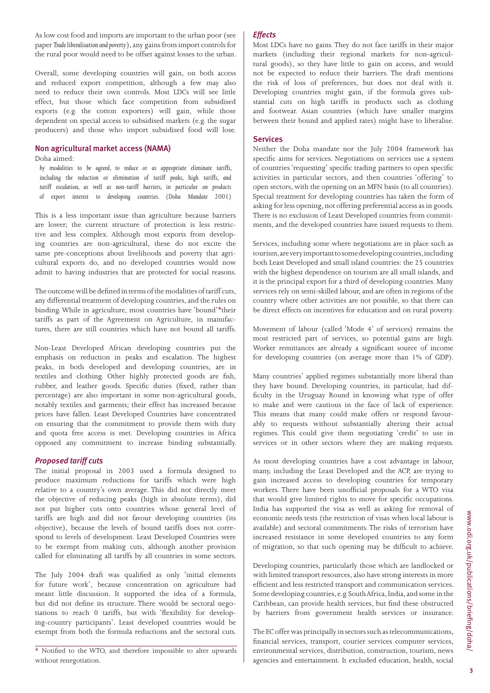As low cost food and imports are important to the urban poor (see paper *Trade liberalisation and poverty*), any gains from import controls for the rural poor would need to be offset against losses to the urban.

Overall, some developing countries will gain, on both access and reduced export competition, although a few may also need to reduce their own controls. Most LDCs will see little effect, but those which face competition from subsidised exports (e.g. the cotton exporters) will gain, while those dependent on special access to subsidised markets (e.g. the sugar producers) and those who import subsidised food will lose.

#### Non agricultural market access (NAMA)

## Doha aimed:

*by modalities to be agreed, to reduce or as appropriate eliminate tariffs, including the reduction or elimination of tariff peaks, high tariffs, and tariff escalation, as well as non-tariff barriers, in particular on products of export interest to developing countries. (Doha Mandate 2001)*

This is a less important issue than agriculture because barriers are lower; the current structure of protection is less restrictive and less complex. Although most exports from developing countries are non-agricultural, these do not excite the same pre-conceptions about livelihoods and poverty that agricultural exports do, and no developed countries would now admit to having industries that are protected for social reasons.

The outcome will be defined in terms of the modalities of tariff cuts, any differential treatment of developing countries, and the rules on binding. While in agriculture, most countries have 'bound'\*their tariffs as part of the Agreement on Agriculture, in manufactures, there are still countries which have not bound all tariffs.

Non-Least Developed African developing countries put the emphasis on reduction in peaks and escalation. The highest peaks, in both developed and developing countries, are in textiles and clothing. Other highly protected goods are fish, rubber, and leather goods. Specific duties (fixed, rather than percentage) are also important in some non-agricultural goods, notably textiles and garments; their effect has increased because prices have fallen. Least Developed Countries have concentrated on ensuring that the commitment to provide them with duty and quota free access is met. Developing countries in Africa opposed any commitment to increase binding substantially.

#### *Proposed tariff cuts*

The initial proposal in 2003 used a formula designed to produce maximum reductions for tariffs which were high relative to a country's own average. This did not directly meet the objective of reducing peaks (high in absolute terms), did not put higher cuts onto countries whose general level of tariffs are high and did not favour developing countries (its objective), because the levels of bound tariffs does not correspond to levels of development. Least Developed Countries were to be exempt from making cuts, although another provision called for eliminating all tariffs by all countries in some sectors.

The July 2004 draft was qualified as only 'initial elements for future work', because concentration on agriculture had meant little discussion. It supported the idea of a formula, but did not define its structure. There would be sectoral negotiations to reach 0 tariffs, but with 'flexibility for developing-country participants'. Least developed countries would be exempt from both the formula reductions and the sectoral cuts.

#### *Effects*

Most LDCs have no gains. They do not face tariffs in their major markets (including their regional markets for non-agricultural goods), so they have little to gain on access, and would not be expected to reduce their barriers. The draft mentions the risk of loss of preferences, but does not deal with it. Developing countries might gain, if the formula gives substantial cuts on high tariffs in products such as clothing and footwear. Asian countries (which have smaller margins between their bound and applied rates) might have to liberalise.

#### **Services**

Neither the Doha mandate nor the July 2004 framework has specific aims for services. Negotiations on services use a system of countries 'requesting' specific trading partners to open specific activities in particular sectors, and then countries 'offering' to open sectors, with the opening on an MFN basis (to all countries). Special treatment for developing countries has taken the form of asking for less opening, not offering preferential access as in goods. There is no exclusion of Least Developed countries from commitments, and the developed countries have issued requests to them.

Services, including some where negotiations are in place such as tourism, are very important to some developing countries, including both Least Developed and small island countries: the 25 countries with the highest dependence on tourism are all small islands, and it is the principal export for a third of developing countries. Many services rely on semi-skilled labour, and are often in regions of the country where other activities are not possible, so that there can be direct effects on incentives for education and on rural poverty.

Movement of labour (called 'Mode 4' of services) remains the most restricted part of services, so potential gains are high. Worker remittances are already a significant source of income for developing countries (on average more than 1% of GDP).

Many countries' applied regimes substantially more liberal than they have bound. Developing countries, in particular, had difficulty in the Uruguay Round in knowing what type of offer to make and were cautious in the face of lack of experience. This means that many could make offers or respond favourably to requests without substantially altering their actual regimes. This could give them negotiating 'credit' to use in services or in other sectors where they are making requests.

As most developing countries have a cost advantage in labour, many, including the Least Developed and the ACP, are trying to gain increased access to developing countries for temporary workers. There have been unofficial proposals for a WTO visa that would give limited rights to move for specific occupations. India has supported the visa as well as asking for removal of economic needs tests (the restriction of visas when local labour is available) and sectoral commitments. The risks of terrorism have increased resistance in some developed countries to any form of migration, so that such opening may be difficult to achieve.

Developing countries, particularly those which are landlocked or with limited transport resources, also have strong interests in more efficient and less restricted transport and communication services. Some developing countries, e.g. South Africa, India, and some in the Caribbean, can provide health services, but find these obstructed by barriers from government health services or insurance.

The EC offer was principally in sectors such as telecommunications, financial services, transport, courier services computer services, environmental services, distribution, construction, tourism, news agencies and entertainment. It excluded education, health, social

<sup>\*</sup> Notified to the WTO, and therefore impossible to alter upwards without renegotiation.